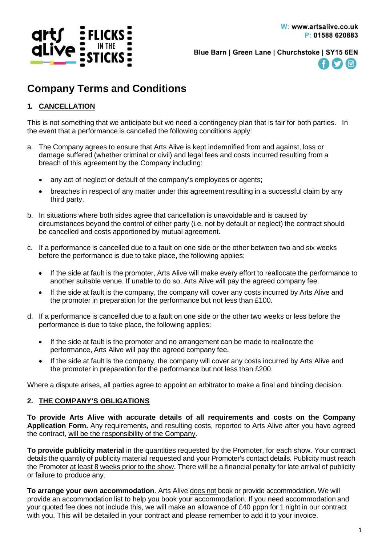

Blue Barn | Green Lane | Churchstoke | SY15 6EN



# **Company Terms and Conditions**

## **1. CANCELLATION**

This is not something that we anticipate but we need a contingency plan that is fair for both parties. In the event that a performance is cancelled the following conditions apply:

- a. The Company agrees to ensure that Arts Alive is kept indemnified from and against, loss or damage suffered (whether criminal or civil) and legal fees and costs incurred resulting from a breach of this agreement by the Company including:
	- any act of neglect or default of the company's employees or agents;
	- breaches in respect of any matter under this agreement resulting in a successful claim by any third party.
- b. In situations where both sides agree that cancellation is unavoidable and is caused by circumstances beyond the control of either party (i.e. not by default or neglect) the contract should be cancelled and costs apportioned by mutual agreement.
- c. If a performance is cancelled due to a fault on one side or the other between two and six weeks before the performance is due to take place, the following applies:
	- If the side at fault is the promoter, Arts Alive will make every effort to reallocate the performance to another suitable venue. If unable to do so, Arts Alive will pay the agreed company fee.
	- If the side at fault is the company, the company will cover any costs incurred by Arts Alive and the promoter in preparation for the performance but not less than £100.
- d. If a performance is cancelled due to a fault on one side or the other two weeks or less before the performance is due to take place, the following applies:
	- If the side at fault is the promoter and no arrangement can be made to reallocate the performance, Arts Alive will pay the agreed company fee.
	- If the side at fault is the company, the company will cover any costs incurred by Arts Alive and the promoter in preparation for the performance but not less than £200.

Where a dispute arises, all parties agree to appoint an arbitrator to make a final and binding decision.

### **2. THE COMPANY'S OBLIGATIONS**

**To provide Arts Alive with accurate details of all requirements and costs on the Company Application Form.** Any requirements, and resulting costs, reported to Arts Alive after you have agreed the contract, will be the responsibility of the Company.

**To provide publicity material** in the quantities requested by the Promoter, for each show. Your contract details the quantity of publicity material requested and your Promoter's contact details. Publicity must reach the Promoter at least 8 weeks prior to the show. There will be a financial penalty for late arrival of publicity or failure to produce any.

**To arrange your own accommodation**. Arts Alive does not book or provide accommodation. We will provide an accommodation list to help you book your accommodation. If you need accommodation and your quoted fee does not include this, we will make an allowance of £40 pppn for 1 night in our contract with you. This will be detailed in your contract and please remember to add it to your invoice.